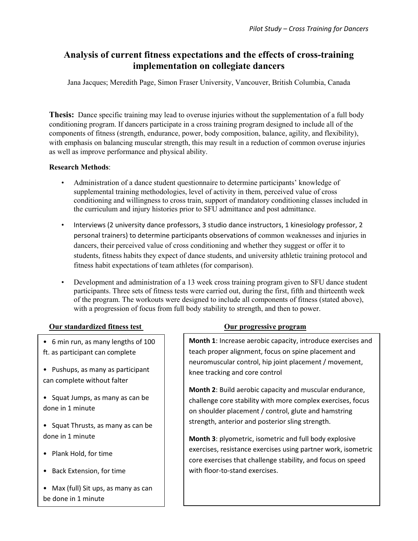# **Analysis of current fitness expectations and the effects of cross-training implementation on collegiate dancers**

Jana Jacques; Meredith Page, Simon Fraser University, Vancouver, British Columbia, Canada

**Thesis:** Dance specific training may lead to overuse injuries without the supplementation of a full body conditioning program. If dancers participate in a cross training program designed to include all of the components of fitness (strength, endurance, power, body composition, balance, agility, and flexibility), with emphasis on balancing muscular strength, this may result in a reduction of common overuse injuries as well as improve performance and physical ability.

## **Research Methods**:

- Administration of a dance student questionnaire to determine participants' knowledge of supplemental training methodologies, level of activity in them, perceived value of cross conditioning and willingness to cross train, support of mandatory conditioning classes included in the curriculum and injury histories prior to SFU admittance and post admittance.
- Interviews (2 university dance professors, 3 studio dance instructors, 1 kinesiology professor, 2 personal trainers) to determine participants observations of common weaknesses and injuries in dancers, their perceived value of cross conditioning and whether they suggest or offer it to students, fitness habits they expect of dance students, and university athletic training protocol and fitness habit expectations of team athletes (for comparison).
- Development and administration of a 13 week cross training program given to SFU dance student participants. Three sets of fitness tests were carried out, during the first, fifth and thirteenth week of the program. The workouts were designed to include all components of fitness (stated above), with a progression of focus from full body stability to strength, and then to power.

### **Our standardized fitness test Our progressive program**

• 6 min run, as many lengths of 100 ft. as participant can complete

• Pushups, as many as participant can complete without falter

• Squat Jumps, as many as can be done in 1 minute

• Squat Thrusts, as many as can be done in 1 minute

- Plank Hold, for time
- Back Extension, for time
- Max (full) Sit ups, as many as can be done in 1 minute

**Month 1**: Increase aerobic capacity, introduce exercises and teach proper alignment, focus on spine placement and neuromuscular control, hip joint placement / movement, knee tracking and core control

**Month 2**: Build aerobic capacity and muscular endurance, challenge core stability with more complex exercises, focus on shoulder placement / control, glute and hamstring strength, anterior and posterior sling strength.

**Month 3**: plyometric, isometric and full body explosive exercises, resistance exercises using partner work, isometric core exercises that challenge stability, and focus on speed with floor-to-stand exercises.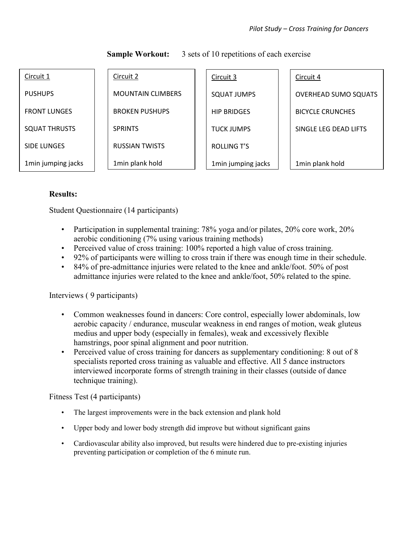| Circuit 1            | Circuit 2                | Circuit 3           | Circuit 4                   |
|----------------------|--------------------------|---------------------|-----------------------------|
| <b>PUSHUPS</b>       | <b>MOUNTAIN CLIMBERS</b> | SQUAT JUMPS         | <b>OVERHEAD SUMO SQUATS</b> |
| <b>FRONT LUNGES</b>  | <b>BROKEN PUSHUPS</b>    | <b>HIP BRIDGES</b>  | <b>BICYCLE CRUNCHES</b>     |
| <b>SQUAT THRUSTS</b> | <b>SPRINTS</b>           | <b>TUCK JUMPS</b>   | SINGLE LEG DEAD LIFTS       |
| <b>SIDE LUNGES</b>   | <b>RUSSIAN TWISTS</b>    | <b>ROLLING T'S</b>  |                             |
| 1min jumping jacks   | 1min plank hold          | 1 min jumping jacks | 1 min plank hold            |

**Sample Workout:** 3 sets of 10 repetitions of each exercise

## **Results:**

Student Questionnaire (14 participants)

- Participation in supplemental training: 78% yoga and/or pilates, 20% core work, 20% aerobic conditioning (7% using various training methods)
- Perceived value of cross training: 100% reported a high value of cross training.
- 92% of participants were willing to cross train if there was enough time in their schedule.
- 84% of pre-admittance injuries were related to the knee and ankle/foot. 50% of post admittance injuries were related to the knee and ankle/foot, 50% related to the spine.

# Interviews ( 9 participants)

- Common weaknesses found in dancers: Core control, especially lower abdominals, low aerobic capacity / endurance, muscular weakness in end ranges of motion, weak gluteus medius and upper body (especially in females), weak and excessively flexible hamstrings, poor spinal alignment and poor nutrition.
- Perceived value of cross training for dancers as supplementary conditioning: 8 out of 8 specialists reported cross training as valuable and effective. All 5 dance instructors interviewed incorporate forms of strength training in their classes (outside of dance technique training).

Fitness Test (4 participants)

- The largest improvements were in the back extension and plank hold
- Upper body and lower body strength did improve but without significant gains
- Cardiovascular ability also improved, but results were hindered due to pre-existing injuries preventing participation or completion of the 6 minute run.